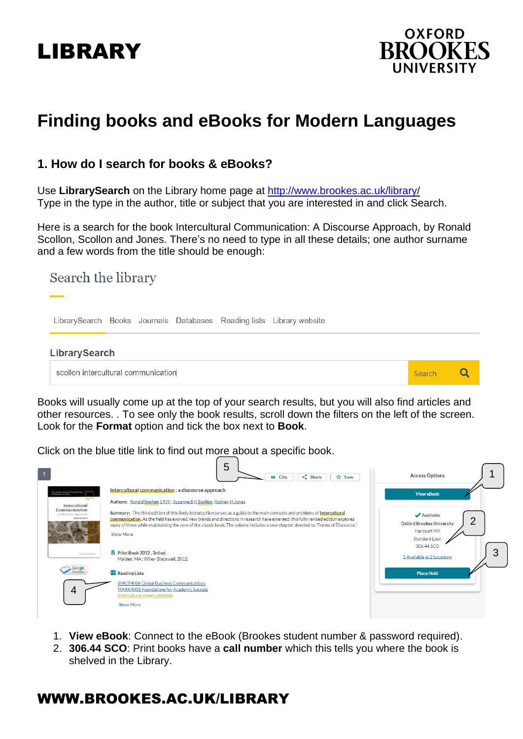# LIBRARY



## **Finding books and eBooks for Modern Languages**

#### **1. How do I search for books & eBooks?**

Use **LibrarySearch** on the Library home page at<http://www.brookes.ac.uk/library/> Type in the type in the author, title or subject that you are interested in and click Search.

Here is a search for the book Intercultural Communication: A Discourse Approach, by Ronald Scollon, Scollon and Jones. There's no need to type in all these details; one author surname and a few words from the title should be enough:

## Search the library LibrarySearch Books Journals Databases Reading lists Library website **LibrarySearch**  $\overline{Q}$ scollon intercultural communication Search

Books will usually come up at the top of your search results, but you will also find articles and other resources. . To see only the book results, scroll down the filters on the left of the screen. Look for the **Format** option and tick the box next to **Book**.

Click on the blue title link to find out more about a specific book.



- 1. **View eBook**: Connect to the eBook (Brookes student number & password required).
- 2. **306.44 SCO**: Print books have a **call number** which this tells you where the book is shelved in the Library.

## WWW.BROOKES.AC.UK/LIBRARY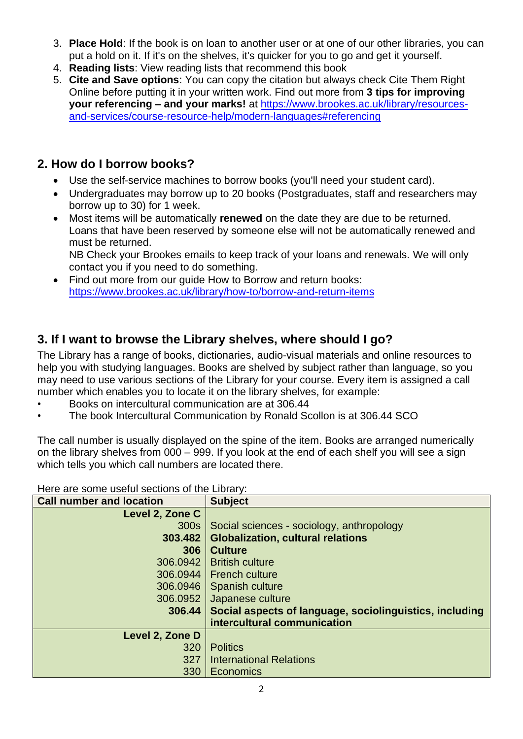- 3. **Place Hold**: If the book is on loan to another user or at one of our other libraries, you can put a hold on it. If it's on the shelves, it's quicker for you to go and get it yourself.
- 4. **Reading lists**: View reading lists that recommend this book
- 5. **Cite and Save options**: You can copy the citation but always check Cite Them Right Online before putting it in your written work. Find out more from **3 tips for improving your referencing – and your marks!** at [https://www.brookes.ac.uk/library/resources](https://www.brookes.ac.uk/library/resources-and-services/course-resource-help/modern-languages#referencing)[and-services/course-resource-help/modern-languages#referencing](https://www.brookes.ac.uk/library/resources-and-services/course-resource-help/modern-languages#referencing)

### **2. How do I borrow books?**

- Use the self-service machines to borrow books (you'll need your student card).
- Undergraduates may borrow up to 20 books (Postgraduates, staff and researchers may borrow up to 30) for 1 week.
- Most items will be automatically **renewed** on the date they are due to be returned. Loans that have been reserved by someone else will not be automatically renewed and must be returned.

NB Check your Brookes emails to keep track of your loans and renewals. We will only contact you if you need to do something.

• Find out more from our guide How to Borrow and return books: <https://www.brookes.ac.uk/library/how-to/borrow-and-return-items>

## **3. If I want to browse the Library shelves, where should I go?**

The Library has a range of books, dictionaries, audio-visual materials and online resources to help you with studying languages. Books are shelved by subject rather than language, so you may need to use various sections of the Library for your course. Every item is assigned a call number which enables you to locate it on the library shelves, for example:

- Books on intercultural communication are at 306.44
- The book Intercultural Communication by Ronald Scollon is at 306.44 SCO

The call number is usually displayed on the spine of the item. Books are arranged numerically on the library shelves from 000 – 999. If you look at the end of each shelf you will see a sign which tells you which call numbers are located there.

Here are some useful sections of the Library:

| <b>Call number and location</b> | <b>Subject</b>                                          |
|---------------------------------|---------------------------------------------------------|
| Level 2, Zone C                 |                                                         |
| 300s                            | Social sciences - sociology, anthropology               |
| 303,482                         | <b>Globalization, cultural relations</b>                |
| 306                             | <b>Culture</b>                                          |
| 306.0942                        | <b>British culture</b>                                  |
| 306.0944                        | <b>French culture</b>                                   |
| 306.0946                        | Spanish culture                                         |
| 306.0952                        | Japanese culture                                        |
| 306.44                          | Social aspects of language, sociolinguistics, including |
|                                 | intercultural communication                             |
| Level 2, Zone D                 |                                                         |
| 320                             | <b>Politics</b>                                         |
| 327                             | <b>International Relations</b>                          |
| 330                             | Economics                                               |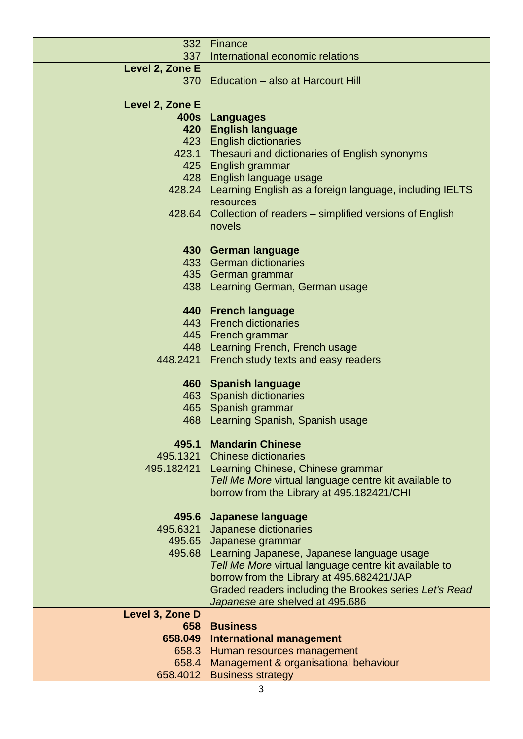| 332             | Finance                                                 |
|-----------------|---------------------------------------------------------|
| 337             | International economic relations                        |
| Level 2, Zone E |                                                         |
| 370             | Education - also at Harcourt Hill                       |
|                 |                                                         |
| Level 2, Zone E |                                                         |
| 400s            | <b>Languages</b>                                        |
| 420             | <b>English language</b>                                 |
| 423             |                                                         |
|                 | <b>English dictionaries</b>                             |
| 423.1           | Thesauri and dictionaries of English synonyms           |
| 425             | English grammar                                         |
| 428             | English language usage                                  |
| 428.24          | Learning English as a foreign language, including IELTS |
|                 | resources                                               |
| 428.64          | Collection of readers – simplified versions of English  |
|                 | novels                                                  |
|                 |                                                         |
|                 |                                                         |
| 430             | <b>German language</b>                                  |
| 433             | <b>German dictionaries</b>                              |
| 435             | German grammar                                          |
| 438             | Learning German, German usage                           |
|                 |                                                         |
| 440             | <b>French language</b>                                  |
| 443             | <b>French dictionaries</b>                              |
| 445             |                                                         |
|                 | French grammar                                          |
| 448             | Learning French, French usage                           |
| 448.2421        | French study texts and easy readers                     |
|                 |                                                         |
| 460             | <b>Spanish language</b>                                 |
| 463             | <b>Spanish dictionaries</b>                             |
| 465             | Spanish grammar                                         |
| 468             | Learning Spanish, Spanish usage                         |
|                 |                                                         |
| 495.1           | <b>Mandarin Chinese</b>                                 |
| 495.1321        | <b>Chinese dictionaries</b>                             |
| 495.182421      | Learning Chinese, Chinese grammar                       |
|                 |                                                         |
|                 | Tell Me More virtual language centre kit available to   |
|                 | borrow from the Library at 495.182421/CHI               |
|                 |                                                         |
| 495.6           | <b>Japanese language</b>                                |
| 495.6321        | Japanese dictionaries                                   |
| 495.65          | Japanese grammar                                        |
| 495.68          | Learning Japanese, Japanese language usage              |
|                 | Tell Me More virtual language centre kit available to   |
|                 | borrow from the Library at 495.682421/JAP               |
|                 |                                                         |
|                 | Graded readers including the Brookes series Let's Read  |
|                 | Japanese are shelved at 495.686                         |
| Level 3, Zone D |                                                         |
| 658             | <b>Business</b>                                         |
| 658.049         | <b>International management</b>                         |
| 658.3           | Human resources management                              |
| 658.4           | Management & organisational behaviour                   |
| 658.4012        | <b>Business strategy</b>                                |